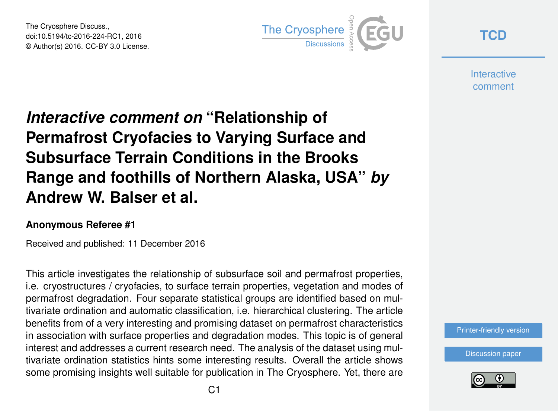The Cryosphere Discuss., doi:10.5194/tc-2016-224-RC1, 2016 © Author(s) 2016. CC-BY 3.0 License.



**[TCD](http://www.the-cryosphere-discuss.net/)**

**Interactive** comment

## *Interactive comment on* **"Relationship of Permafrost Cryofacies to Varying Surface and Subsurface Terrain Conditions in the Brooks Range and foothills of Northern Alaska, USA"** *by* **Andrew W. Balser et al.**

## **Anonymous Referee #1**

Received and published: 11 December 2016

This article investigates the relationship of subsurface soil and permafrost properties, i.e. cryostructures / cryofacies, to surface terrain properties, vegetation and modes of permafrost degradation. Four separate statistical groups are identified based on multivariate ordination and automatic classification, i.e. hierarchical clustering. The article benefits from of a very interesting and promising dataset on permafrost characteristics in association with surface properties and degradation modes. This topic is of general interest and addresses a current research need. The analysis of the dataset using multivariate ordination statistics hints some interesting results. Overall the article shows some promising insights well suitable for publication in The Cryosphere. Yet, there are



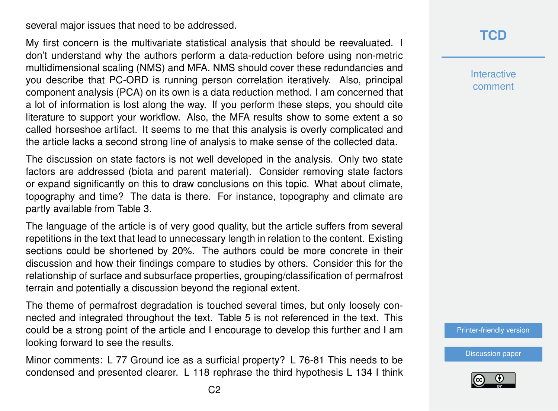several major issues that need to be addressed.

My first concern is the multivariate statistical analysis that should be reevaluated. I don't understand why the authors perform a data-reduction before using non-metric multidimensional scaling (NMS) and MFA. NMS should cover these redundancies and you describe that PC-ORD is running person correlation iteratively. Also, principal component analysis (PCA) on its own is a data reduction method. I am concerned that a lot of information is lost along the way. If you perform these steps, you should cite literature to support your workflow. Also, the MFA results show to some extent a so called horseshoe artifact. It seems to me that this analysis is overly complicated and the article lacks a second strong line of analysis to make sense of the collected data.

The discussion on state factors is not well developed in the analysis. Only two state factors are addressed (biota and parent material). Consider removing state factors or expand significantly on this to draw conclusions on this topic. What about climate, topography and time? The data is there. For instance, topography and climate are partly available from Table 3.

The language of the article is of very good quality, but the article suffers from several repetitions in the text that lead to unnecessary length in relation to the content. Existing sections could be shortened by 20%. The authors could be more concrete in their discussion and how their findings compare to studies by others. Consider this for the relationship of surface and subsurface properties, grouping/classification of permafrost terrain and potentially a discussion beyond the regional extent.

The theme of permafrost degradation is touched several times, but only loosely connected and integrated throughout the text. Table 5 is not referenced in the text. This could be a strong point of the article and I encourage to develop this further and I am looking forward to see the results.

Minor comments: L 77 Ground ice as a surficial property? L 76-81 This needs to be condensed and presented clearer. L 118 rephrase the third hypothesis L 134 I think **[TCD](http://www.the-cryosphere-discuss.net/)**

**Interactive** comment

[Printer-friendly version](http://www.the-cryosphere-discuss.net/tc-2016-224/tc-2016-224-RC1-print.pdf)

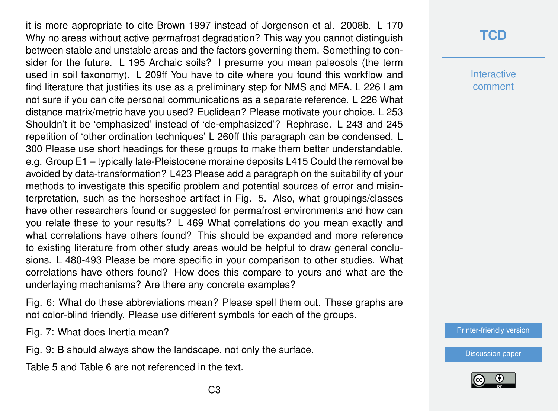it is more appropriate to cite Brown 1997 instead of Jorgenson et al. 2008b. L 170 Why no areas without active permafrost degradation? This way you cannot distinguish between stable and unstable areas and the factors governing them. Something to consider for the future. L 195 Archaic soils? I presume you mean paleosols (the term used in soil taxonomy). L 209ff You have to cite where you found this workflow and find literature that justifies its use as a preliminary step for NMS and MFA. L 226 I am not sure if you can cite personal communications as a separate reference. L 226 What distance matrix/metric have you used? Euclidean? Please motivate your choice. L 253 Shouldn't it be 'emphasized' instead of 'de-emphasized'? Rephrase. L 243 and 245 repetition of 'other ordination techniques' L 260ff this paragraph can be condensed. L 300 Please use short headings for these groups to make them better understandable. e.g. Group E1 – typically late-Pleistocene moraine deposits L415 Could the removal be avoided by data-transformation? L423 Please add a paragraph on the suitability of your methods to investigate this specific problem and potential sources of error and misinterpretation, such as the horseshoe artifact in Fig. 5. Also, what groupings/classes have other researchers found or suggested for permafrost environments and how can you relate these to your results? L 469 What correlations do you mean exactly and what correlations have others found? This should be expanded and more reference to existing literature from other study areas would be helpful to draw general conclusions. L 480-493 Please be more specific in your comparison to other studies. What correlations have others found? How does this compare to yours and what are the underlaying mechanisms? Are there any concrete examples?

Fig. 6: What do these abbreviations mean? Please spell them out. These graphs are not color-blind friendly. Please use different symbols for each of the groups.

Fig. 7: What does Inertia mean?

Fig. 9: B should always show the landscape, not only the surface.

Table 5 and Table 6 are not referenced in the text.

## **[TCD](http://www.the-cryosphere-discuss.net/)**

**Interactive** comment

[Printer-friendly version](http://www.the-cryosphere-discuss.net/tc-2016-224/tc-2016-224-RC1-print.pdf)